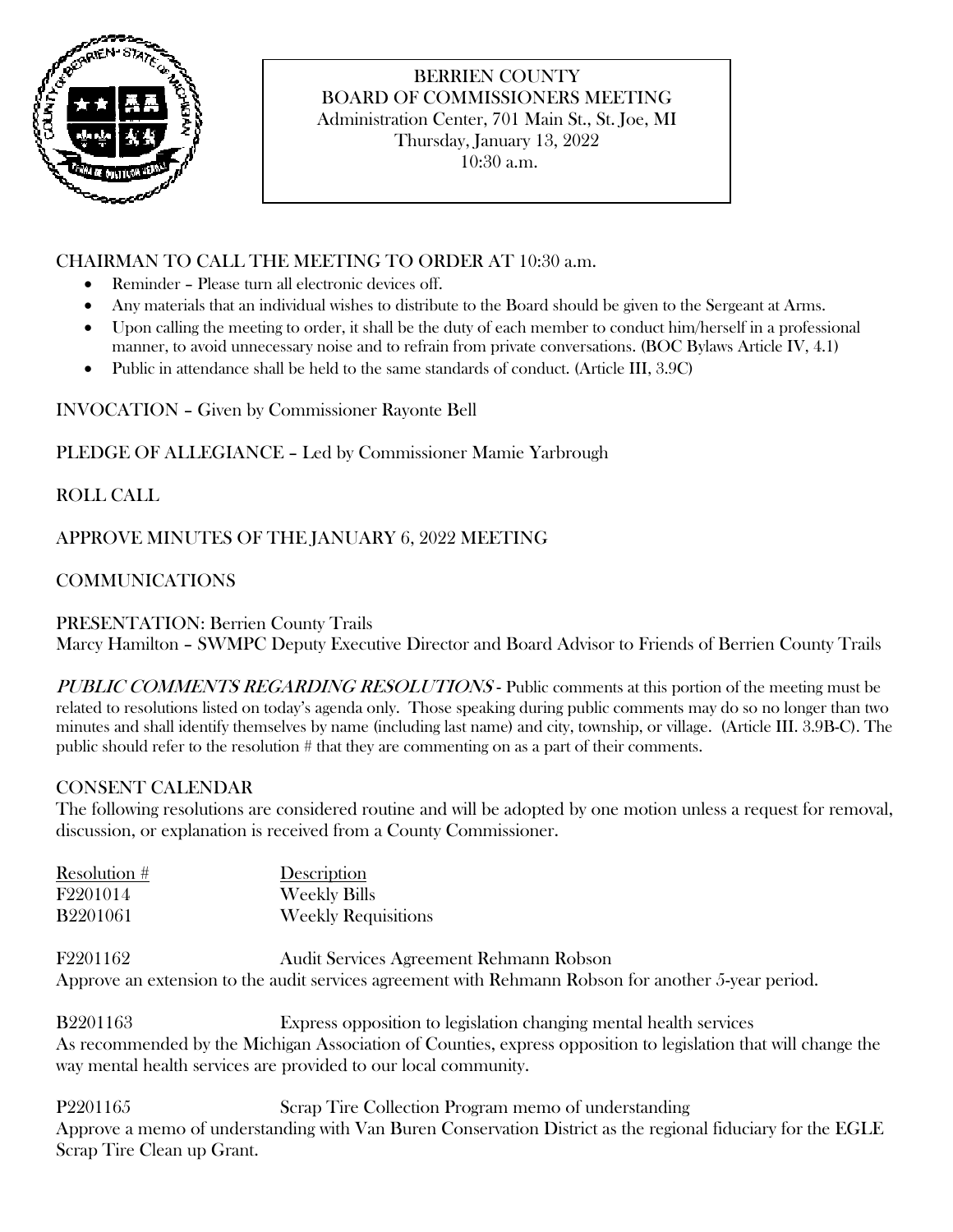

# BERRIEN COUNTY BOARD OF COMMISSIONERS MEETING Administration Center, 701 Main St., St. Joe, MI Thursday, January 13, 2022

10:30 a.m.

### CHAIRMAN TO CALL THE MEETING TO ORDER AT 10:30 a.m.

- Reminder Please turn all electronic devices off.
- Any materials that an individual wishes to distribute to the Board should be given to the Sergeant at Arms.
- Upon calling the meeting to order, it shall be the duty of each member to conduct him/herself in a professional manner, to avoid unnecessary noise and to refrain from private conversations. (BOC Bylaws Article IV, 4.1)
- Public in attendance shall be held to the same standards of conduct. (Article III, 3.9C)

INVOCATION – Given by Commissioner Rayonte Bell

PLEDGE OF ALLEGIANCE – Led by Commissioner Mamie Yarbrough

ROLL CALL

APPROVE MINUTES OF THE JANUARY 6, 2022 MEETING

## COMMUNICATIONS

### PRESENTATION: Berrien County Trails

Marcy Hamilton – SWMPC Deputy Executive Director and Board Advisor to Friends of Berrien County Trails

PUBLIC COMMENTS REGARDING RESOLUTIONS - Public comments at this portion of the meeting must be related to resolutions listed on today's agenda only. Those speaking during public comments may do so no longer than two minutes and shall identify themselves by name (including last name) and city, township, or village. (Article III. 3.9B-C). The public should refer to the resolution # that they are commenting on as a part of their comments.

### CONSENT CALENDAR

The following resolutions are considered routine and will be adopted by one motion unless a request for removal, discussion, or explanation is received from a County Commissioner.

| Description                |
|----------------------------|
| <b>Weekly Bills</b>        |
| <b>Weekly Requisitions</b> |
|                            |

F2201162 Audit Services Agreement Rehmann Robson Approve an extension to the audit services agreement with Rehmann Robson for another 5-year period.

B2201163 Express opposition to legislation changing mental health services As recommended by the Michigan Association of Counties, express opposition to legislation that will change the way mental health services are provided to our local community.

P2201165 Scrap Tire Collection Program memo of understanding Approve a memo of understanding with Van Buren Conservation District as the regional fiduciary for the EGLE Scrap Tire Clean up Grant.